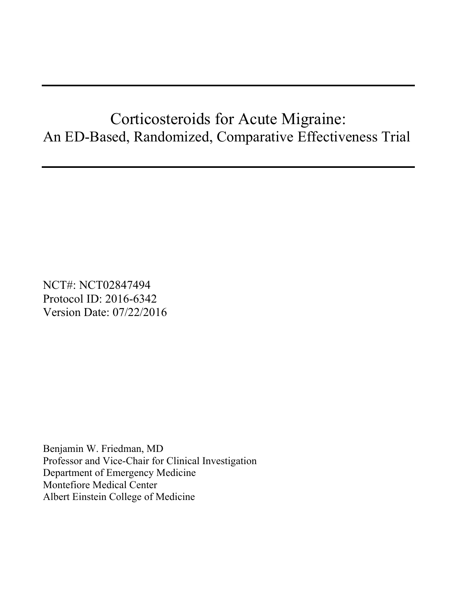# Corticosteroids for Acute Migraine: An ED-Based, Randomized, Comparative Effectiveness Trial

NCT#: NCT02847494 Protocol ID: 2016-6342 Version Date: 07/22/2016

Benjamin W. Friedman, MD Professor and Vice-Chair for Clinical Investigation Department of Emergency Medicine Montefiore Medical Center Albert Einstein College of Medicine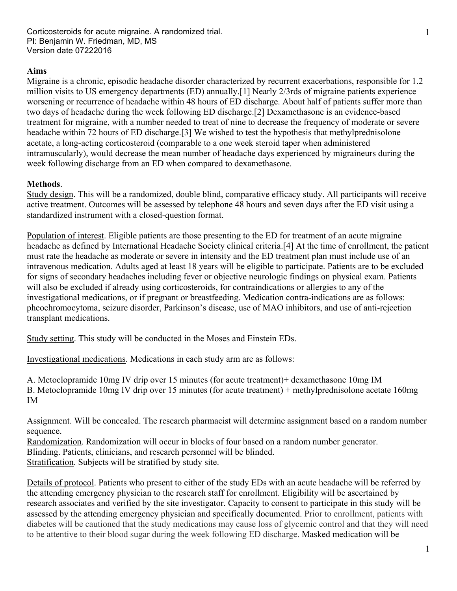Corticosteroids for acute migraine. A randomized trial. PI: Benjamin W. Friedman, MD, MS Version date 07222016

### **Aims**

Migraine is a chronic, episodic headache disorder characterized by recurrent exacerbations, responsible for 1.2 million visits to US emergency departments (ED) annually.[1] Nearly 2/3rds of migraine patients experience worsening or recurrence of headache within 48 hours of ED discharge. About half of patients suffer more than two days of headache during the week following ED discharge.[2] Dexamethasone is an evidence-based treatment for migraine, with a number needed to treat of nine to decrease the frequency of moderate or severe headache within 72 hours of ED discharge.[3] We wished to test the hypothesis that methylprednisolone acetate, a long-acting corticosteroid (comparable to a one week steroid taper when administered intramuscularly), would decrease the mean number of headache days experienced by migraineurs during the week following discharge from an ED when compared to dexamethasone.

## **Methods**.

Study design. This will be a randomized, double blind, comparative efficacy study. All participants will receive active treatment. Outcomes will be assessed by telephone 48 hours and seven days after the ED visit using a standardized instrument with a closed-question format.

Population of interest. Eligible patients are those presenting to the ED for treatment of an acute migraine headache as defined by International Headache Society clinical criteria.[4] At the time of enrollment, the patient must rate the headache as moderate or severe in intensity and the ED treatment plan must include use of an intravenous medication. Adults aged at least 18 years will be eligible to participate. Patients are to be excluded for signs of secondary headaches including fever or objective neurologic findings on physical exam. Patients will also be excluded if already using corticosteroids, for contraindications or allergies to any of the investigational medications, or if pregnant or breastfeeding. Medication contra-indications are as follows: pheochromocytoma, seizure disorder, Parkinson's disease, use of MAO inhibitors, and use of anti-rejection transplant medications.

Study setting. This study will be conducted in the Moses and Einstein EDs.

Investigational medications. Medications in each study arm are as follows:

A. Metoclopramide 10mg IV drip over 15 minutes (for acute treatment)+ dexamethasone 10mg IM B. Metoclopramide 10mg IV drip over 15 minutes (for acute treatment) + methylprednisolone acetate 160mg IM

Assignment. Will be concealed. The research pharmacist will determine assignment based on a random number sequence.

Randomization. Randomization will occur in blocks of four based on a random number generator. Blinding. Patients, clinicians, and research personnel will be blinded. Stratification. Subjects will be stratified by study site.

Details of protocol. Patients who present to either of the study EDs with an acute headache will be referred by the attending emergency physician to the research staff for enrollment. Eligibility will be ascertained by research associates and verified by the site investigator. Capacity to consent to participate in this study will be assessed by the attending emergency physician and specifically documented. Prior to enrollment, patients with diabetes will be cautioned that the study medications may cause loss of glycemic control and that they will need to be attentive to their blood sugar during the week following ED discharge. Masked medication will be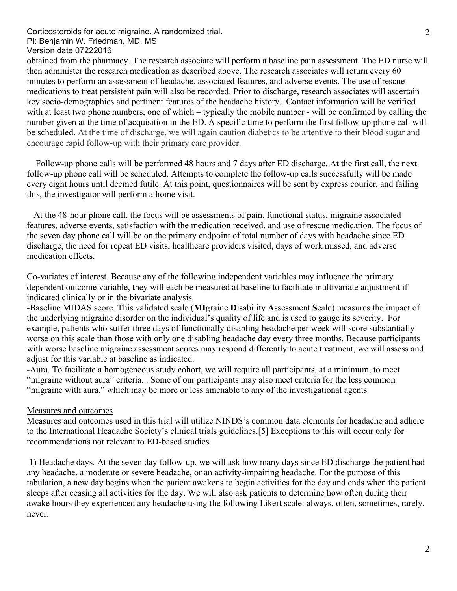#### Corticosteroids for acute migraine. A randomized trial. PI: Benjamin W. Friedman, MD, MS Version date 07222016

obtained from the pharmacy. The research associate will perform a baseline pain assessment. The ED nurse will then administer the research medication as described above. The research associates will return every 60 minutes to perform an assessment of headache, associated features, and adverse events. The use of rescue medications to treat persistent pain will also be recorded. Prior to discharge, research associates will ascertain key socio-demographics and pertinent features of the headache history. Contact information will be verified with at least two phone numbers, one of which – typically the mobile number - will be confirmed by calling the number given at the time of acquisition in the ED. A specific time to perform the first follow-up phone call will be scheduled. At the time of discharge, we will again caution diabetics to be attentive to their blood sugar and encourage rapid follow-up with their primary care provider.

 Follow-up phone calls will be performed 48 hours and 7 days after ED discharge. At the first call, the next follow-up phone call will be scheduled. Attempts to complete the follow-up calls successfully will be made every eight hours until deemed futile. At this point, questionnaires will be sent by express courier, and failing this, the investigator will perform a home visit.

 At the 48-hour phone call, the focus will be assessments of pain, functional status, migraine associated features, adverse events, satisfaction with the medication received, and use of rescue medication. The focus of the seven day phone call will be on the primary endpoint of total number of days with headache since ED discharge, the need for repeat ED visits, healthcare providers visited, days of work missed, and adverse medication effects.

Co-variates of interest. Because any of the following independent variables may influence the primary dependent outcome variable, they will each be measured at baseline to facilitate multivariate adjustment if indicated clinically or in the bivariate analysis.

-Baseline MIDAS score. This validated scale (**MI**graine **D**isability **A**ssessment **S**cale) measures the impact of the underlying migraine disorder on the individual's quality of life and is used to gauge its severity. For example, patients who suffer three days of functionally disabling headache per week will score substantially worse on this scale than those with only one disabling headache day every three months. Because participants with worse baseline migraine assessment scores may respond differently to acute treatment, we will assess and adjust for this variable at baseline as indicated.

-Aura. To facilitate a homogeneous study cohort, we will require all participants, at a minimum, to meet "migraine without aura" criteria. . Some of our participants may also meet criteria for the less common "migraine with aura," which may be more or less amenable to any of the investigational agents

### Measures and outcomes

Measures and outcomes used in this trial will utilize NINDS's common data elements for headache and adhere to the International Headache Society's clinical trials guidelines.[5] Exceptions to this will occur only for recommendations not relevant to ED-based studies.

 1) Headache days. At the seven day follow-up, we will ask how many days since ED discharge the patient had any headache, a moderate or severe headache, or an activity-impairing headache. For the purpose of this tabulation, a new day begins when the patient awakens to begin activities for the day and ends when the patient sleeps after ceasing all activities for the day. We will also ask patients to determine how often during their awake hours they experienced any headache using the following Likert scale: always, often, sometimes, rarely, never.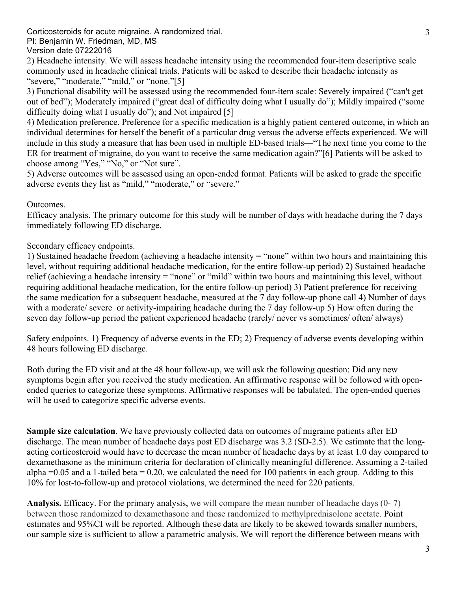Corticosteroids for acute migraine. A randomized trial.

PI: Benjamin W. Friedman, MD, MS

Version date 07222016

2) Headache intensity. We will assess headache intensity using the recommended four-item descriptive scale commonly used in headache clinical trials. Patients will be asked to describe their headache intensity as "severe," "moderate," "mild," or "none."[5]

3) Functional disability will be assessed using the recommended four-item scale: Severely impaired ("can't get out of bed"); Moderately impaired ("great deal of difficulty doing what I usually do"); Mildly impaired ("some difficulty doing what I usually do"); and Not impaired [5]

4) Medication preference. Preference for a specific medication is a highly patient centered outcome, in which an individual determines for herself the benefit of a particular drug versus the adverse effects experienced. We will include in this study a measure that has been used in multiple ED-based trials—"The next time you come to the ER for treatment of migraine, do you want to receive the same medication again?"[6] Patients will be asked to choose among "Yes," "No," or "Not sure".

5) Adverse outcomes will be assessed using an open-ended format. Patients will be asked to grade the specific adverse events they list as "mild," "moderate," or "severe."

## Outcomes.

Efficacy analysis. The primary outcome for this study will be number of days with headache during the 7 days immediately following ED discharge.

## Secondary efficacy endpoints.

1) Sustained headache freedom (achieving a headache intensity = "none" within two hours and maintaining this level, without requiring additional headache medication, for the entire follow-up period) 2) Sustained headache relief (achieving a headache intensity = "none" or "mild" within two hours and maintaining this level, without requiring additional headache medication, for the entire follow-up period) 3) Patient preference for receiving the same medication for a subsequent headache, measured at the 7 day follow-up phone call 4) Number of days with a moderate/ severe or activity-impairing headache during the 7 day follow-up 5) How often during the seven day follow-up period the patient experienced headache (rarely/ never vs sometimes/ often/ always)

Safety endpoints. 1) Frequency of adverse events in the ED; 2) Frequency of adverse events developing within 48 hours following ED discharge.

Both during the ED visit and at the 48 hour follow-up, we will ask the following question: Did any new symptoms begin after you received the study medication. An affirmative response will be followed with openended queries to categorize these symptoms. Affirmative responses will be tabulated. The open-ended queries will be used to categorize specific adverse events.

**Sample size calculation**. We have previously collected data on outcomes of migraine patients after ED discharge. The mean number of headache days post ED discharge was 3.2 (SD-2.5). We estimate that the longacting corticosteroid would have to decrease the mean number of headache days by at least 1.0 day compared to dexamethasone as the minimum criteria for declaration of clinically meaningful difference. Assuming a 2-tailed alpha  $=0.05$  and a 1-tailed beta  $= 0.20$ , we calculated the need for 100 patients in each group. Adding to this 10% for lost-to-follow-up and protocol violations, we determined the need for 220 patients.

**Analysis.** Efficacy. For the primary analysis, we will compare the mean number of headache days (0- 7) between those randomized to dexamethasone and those randomized to methylprednisolone acetate. Point estimates and 95%CI will be reported. Although these data are likely to be skewed towards smaller numbers, our sample size is sufficient to allow a parametric analysis. We will report the difference between means with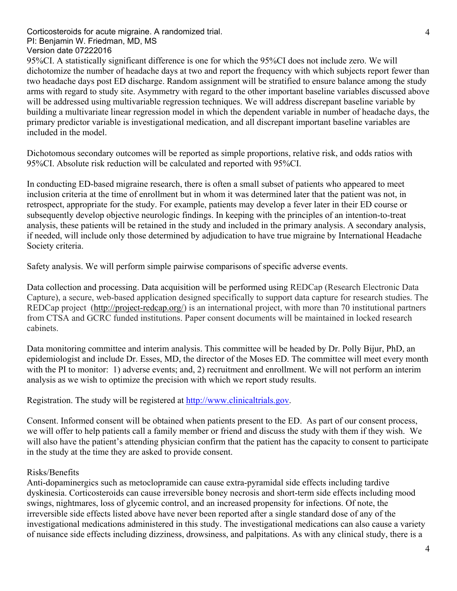Corticosteroids for acute migraine. A randomized trial. PI: Benjamin W. Friedman, MD, MS Version date 07222016

95%CI. A statistically significant difference is one for which the 95%CI does not include zero. We will dichotomize the number of headache days at two and report the frequency with which subjects report fewer than two headache days post ED discharge. Random assignment will be stratified to ensure balance among the study arms with regard to study site. Asymmetry with regard to the other important baseline variables discussed above will be addressed using multivariable regression techniques. We will address discrepant baseline variable by building a multivariate linear regression model in which the dependent variable in number of headache days, the primary predictor variable is investigational medication, and all discrepant important baseline variables are included in the model.

Dichotomous secondary outcomes will be reported as simple proportions, relative risk, and odds ratios with 95%CI. Absolute risk reduction will be calculated and reported with 95%CI.

In conducting ED-based migraine research, there is often a small subset of patients who appeared to meet inclusion criteria at the time of enrollment but in whom it was determined later that the patient was not, in retrospect, appropriate for the study. For example, patients may develop a fever later in their ED course or subsequently develop objective neurologic findings. In keeping with the principles of an intention-to-treat analysis, these patients will be retained in the study and included in the primary analysis. A secondary analysis, if needed, will include only those determined by adjudication to have true migraine by International Headache Society criteria.

Safety analysis. We will perform simple pairwise comparisons of specific adverse events.

Data collection and processing. Data acquisition will be performed using REDCap (Research Electronic Data Capture), a secure, web-based application designed specifically to support data capture for research studies. The REDCap project (http://project-redcap.org/) is an international project, with more than 70 institutional partners from CTSA and GCRC funded institutions. Paper consent documents will be maintained in locked research cabinets.

Data monitoring committee and interim analysis. This committee will be headed by Dr. Polly Bijur, PhD, an epidemiologist and include Dr. Esses, MD, the director of the Moses ED. The committee will meet every month with the PI to monitor: 1) adverse events; and, 2) recruitment and enrollment. We will not perform an interim analysis as we wish to optimize the precision with which we report study results.

Registration. The study will be registered at http://www.clinicaltrials.gov.

Consent. Informed consent will be obtained when patients present to the ED. As part of our consent process, we will offer to help patients call a family member or friend and discuss the study with them if they wish. We will also have the patient's attending physician confirm that the patient has the capacity to consent to participate in the study at the time they are asked to provide consent.

### Risks/Benefits

Anti-dopaminergics such as metoclopramide can cause extra-pyramidal side effects including tardive dyskinesia. Corticosteroids can cause irreversible boney necrosis and short-term side effects including mood swings, nightmares, loss of glycemic control, and an increased propensity for infections. Of note, the irreversible side effects listed above have never been reported after a single standard dose of any of the investigational medications administered in this study. The investigational medications can also cause a variety of nuisance side effects including dizziness, drowsiness, and palpitations. As with any clinical study, there is a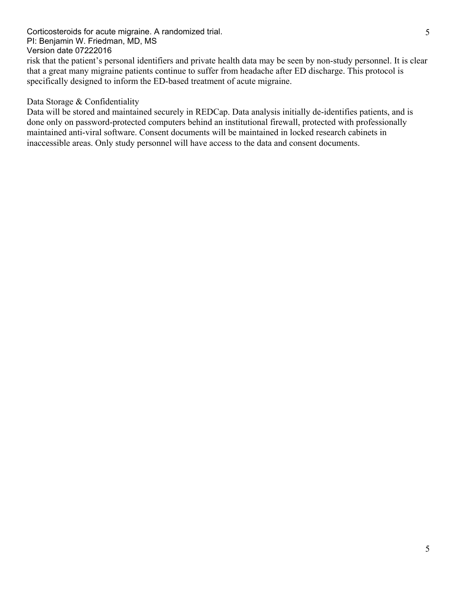risk that the patient's personal identifiers and private health data may be seen by non-study personnel. It is clear that a great many migraine patients continue to suffer from headache after ED discharge. This protocol is specifically designed to inform the ED-based treatment of acute migraine.

## Data Storage & Confidentiality

Data will be stored and maintained securely in REDCap. Data analysis initially de-identifies patients, and is done only on password-protected computers behind an institutional firewall, protected with professionally maintained anti-viral software. Consent documents will be maintained in locked research cabinets in inaccessible areas. Only study personnel will have access to the data and consent documents.